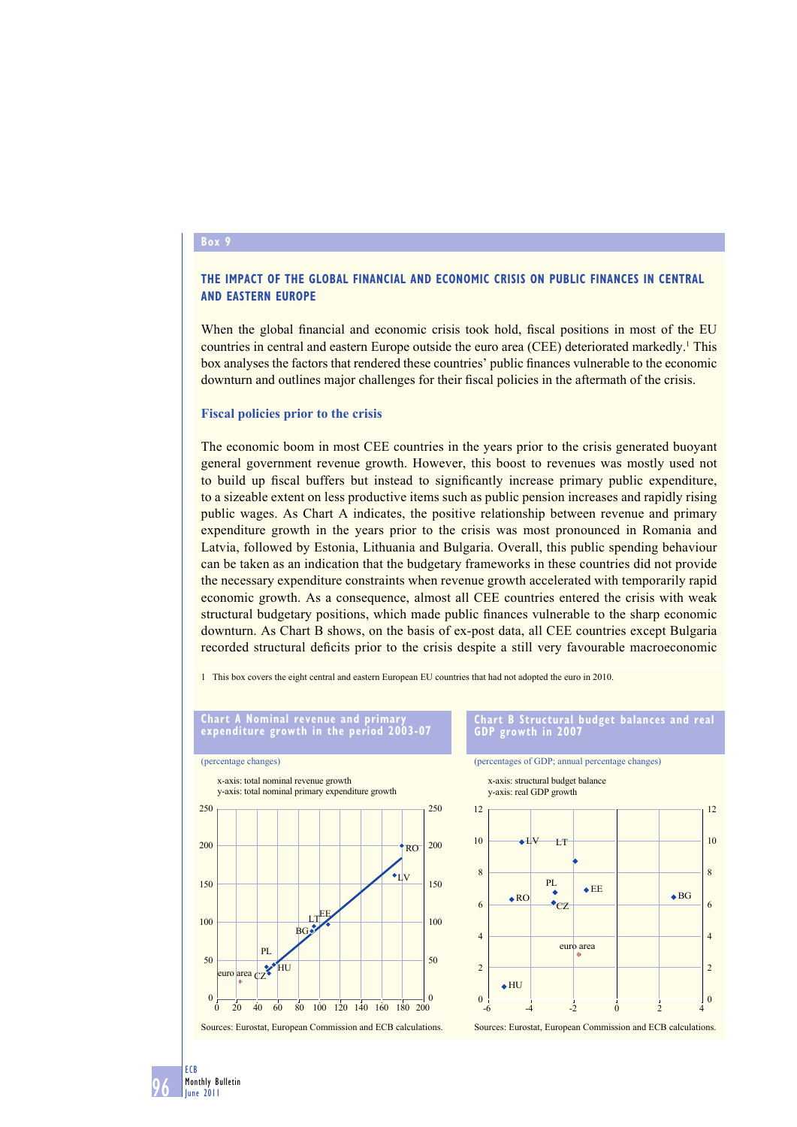### **Box 9**

# **THE IMPACT OF THE GLOBAL FINANCIAL AND ECONOMIC CRISIS ON PUBLIC FINANCES IN CENTRAL AND EASTERN EUROPE**

When the global financial and economic crisis took hold, fiscal positions in most of the EU countries in central and eastern Europe outside the euro area (CEE) deteriorated markedly.<sup>1</sup> This box analyses the factors that rendered these countries' public finances vulnerable to the economic downturn and outlines major challenges for their fiscal policies in the aftermath of the crisis.

### **Fiscal policies prior to the crisis**

The economic boom in most CEE countries in the years prior to the crisis generated buoyant general government revenue growth. However, this boost to revenues was mostly used not to build up fiscal buffers but instead to significantly increase primary public expenditure, to a sizeable extent on less productive items such as public pension increases and rapidly rising public wages. As Chart A indicates, the positive relationship between revenue and primary expenditure growth in the years prior to the crisis was most pronounced in Romania and Latvia, followed by Estonia, Lithuania and Bulgaria. Overall, this public spending behaviour can be taken as an indication that the budgetary frameworks in these countries did not provide the necessary expenditure constraints when revenue growth accelerated with temporarily rapid economic growth. As a consequence, almost all CEE countries entered the crisis with weak structural budgetary positions, which made public finances vulnerable to the sharp economic downturn. As Chart B shows, on the basis of ex-post data, all CEE countries except Bulgaria recorded structural deficits prior to the crisis despite a still very favourable macroeconomic

1 This box covers the eight central and eastern European EU countries that had not adopted the euro in 2010.



#### 96 ECB Monthly Bulletin June 2011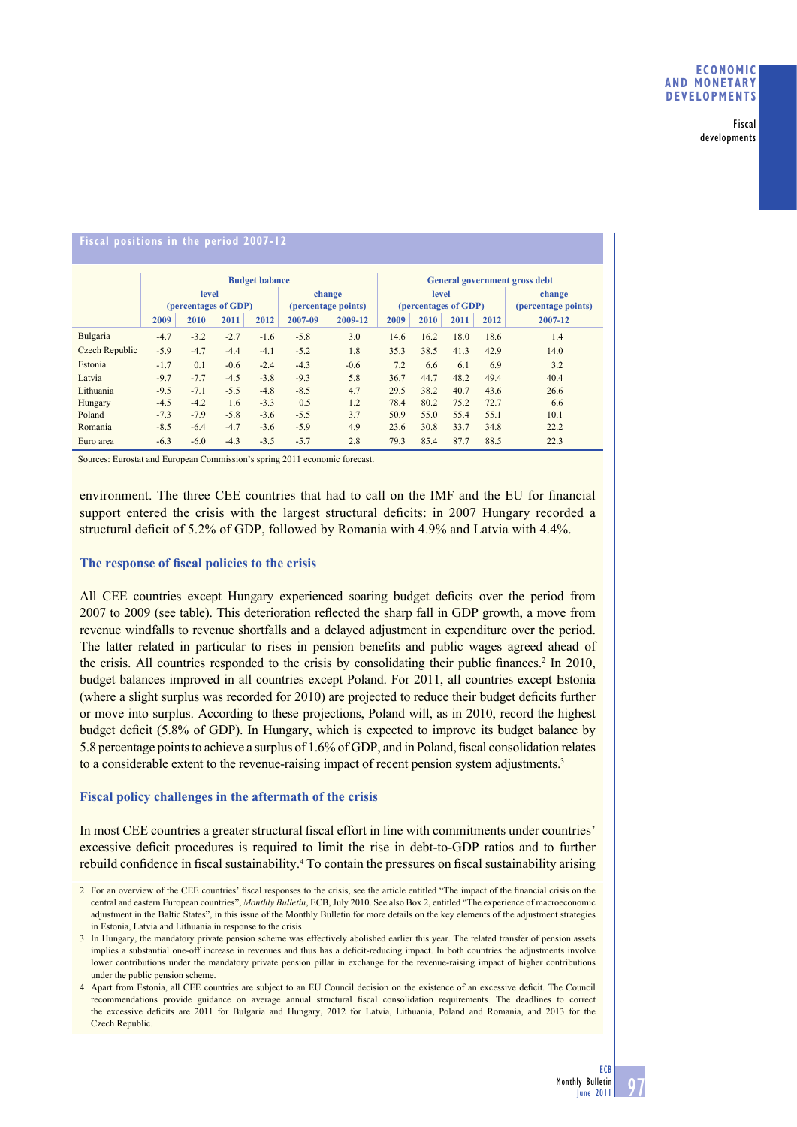Fiscal developments

# **Fiscal positions in the period 2007-12**

|                       | <b>Budget balance</b> |        |        |                     |         |                      | <b>General government gross debt</b> |      |      |                     |         |
|-----------------------|-----------------------|--------|--------|---------------------|---------|----------------------|--------------------------------------|------|------|---------------------|---------|
|                       | level                 |        |        |                     | change  |                      | <b>level</b>                         |      |      |                     | change  |
|                       | (percentages of GDP)  |        |        | (percentage points) |         | (percentages of GDP) |                                      |      |      | (percentage points) |         |
|                       | 2009                  | 2010   | 2011   | 2012                | 2007-09 | 2009-12              | 2009                                 | 2010 | 2011 | 2012                | 2007-12 |
| Bulgaria              | $-4.7$                | $-3.2$ | $-2.7$ | $-1.6$              | $-5.8$  | 3.0                  | 14.6                                 | 16.2 | 18.0 | 18.6                | 1.4     |
| <b>Czech Republic</b> | $-5.9$                | $-4.7$ | $-4.4$ | $-4.1$              | $-5.2$  | 1.8                  | 35.3                                 | 38.5 | 41.3 | 42.9                | 14.0    |
| Estonia               | $-1.7$                | 0.1    | $-0.6$ | $-2.4$              | $-4.3$  | $-0.6$               | 7.2                                  | 6.6  | 6.1  | 6.9                 | 3.2     |
| Latvia                | $-9.7$                | $-7.7$ | $-4.5$ | $-3.8$              | $-9.3$  | 5.8                  | 36.7                                 | 44.7 | 48.2 | 49.4                | 40.4    |
| Lithuania             | $-9.5$                | $-7.1$ | $-5.5$ | $-4.8$              | $-8.5$  | 4.7                  | 29.5                                 | 38.2 | 40.7 | 43.6                | 26.6    |
| Hungary               | $-4.5$                | $-4.2$ | 1.6    | $-3.3$              | 0.5     | 1.2                  | 78.4                                 | 80.2 | 75.2 | 72.7                | 6.6     |
| Poland                | $-7.3$                | $-7.9$ | $-5.8$ | $-3.6$              | $-5.5$  | 3.7                  | 50.9                                 | 55.0 | 55.4 | 55.1                | 10.1    |
| Romania               | $-8.5$                | $-6.4$ | $-4.7$ | $-3.6$              | $-5.9$  | 4.9                  | 23.6                                 | 30.8 | 33.7 | 34.8                | 22.2    |
| Euro area             | $-6.3$                | $-6.0$ | $-4.3$ | $-3.5$              | $-5.7$  | 2.8                  | 79.3                                 | 85.4 | 87.7 | 88.5                | 22.3    |

Sources: Eurostat and European Commission's spring 2011 economic forecast.

environment. The three CEE countries that had to call on the IMF and the EU for financial support entered the crisis with the largest structural deficits: in 2007 Hungary recorded a structural deficit of  $5.2\%$  of GDP, followed by Romania with 4.9% and Latvia with 4.4%.

## The response of fiscal policies to the crisis

All CEE countries except Hungary experienced soaring budget deficits over the period from 2007 to 2009 (see table). This deterioration reflected the sharp fall in GDP growth, a move from revenue windfalls to revenue shortfalls and a delayed adjustment in expenditure over the period. The latter related in particular to rises in pension benefits and public wages agreed ahead of the crisis. All countries responded to the crisis by consolidating their public finances.<sup>2</sup> In 2010, budget balances improved in all countries except Poland. For 2011, all countries except Estonia (where a slight surplus was recorded for  $2010$ ) are projected to reduce their budget deficits further or move into surplus. According to these projections, Poland will, as in 2010, record the highest budget deficit (5.8% of GDP). In Hungary, which is expected to improve its budget balance by 5.8 percentage points to achieve a surplus of 1.6% of GDP, and in Poland, fiscal consolidation relates to a considerable extent to the revenue-raising impact of recent pension system adjustments.<sup>3</sup>

## **Fiscal policy challenges in the aftermath of the crisis**

In most CEE countries a greater structural fiscal effort in line with commitments under countries' excessive deficit procedures is required to limit the rise in debt-to-GDP ratios and to further rebuild confidence in fiscal sustainability.<sup>4</sup> To contain the pressures on fiscal sustainability arising

<sup>2</sup> For an overview of the CEE countries' fiscal responses to the crisis, see the article entitled "The impact of the financial crisis on the central and eastern European countries", *Monthly Bulletin*, ECB, July 2010. See also Box 2, entitled "The experience of macroeconomic adjustment in the Baltic States", in this issue of the Monthly Bulletin for more details on the key elements of the adjustment strategies in Estonia, Latvia and Lithuania in response to the crisis.

<sup>3</sup> In Hungary, the mandatory private pension scheme was effectively abolished earlier this year. The related transfer of pension assets implies a substantial one-off increase in revenues and thus has a deficit-reducing impact. In both countries the adjustments involve lower contributions under the mandatory private pension pillar in exchange for the revenue-raising impact of higher contributions under the public pension scheme.

<sup>4</sup> Apart from Estonia, all CEE countries are subject to an EU Council decision on the existence of an excessive deficit. The Council recommendations provide guidance on average annual structural fiscal consolidation requirements. The deadlines to correct the excessive deficits are 2011 for Bulgaria and Hungary, 2012 for Latvia, Lithuania, Poland and Romania, and 2013 for the Czech Republic.